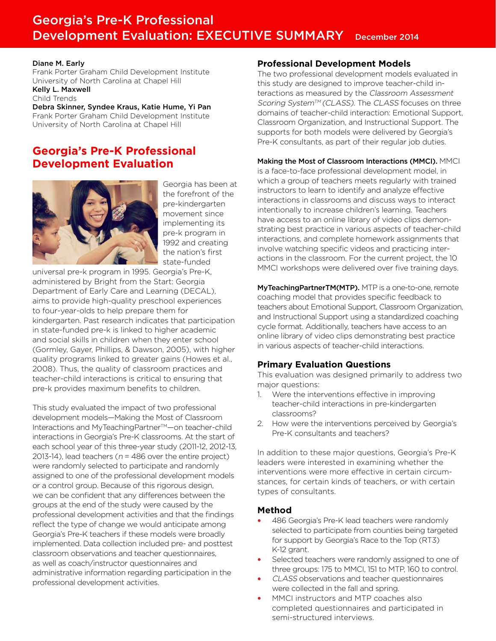# Georgia's Pre-K Professional Development Evaluation: EXECUTIVE SUMMARY December 2014

#### Diane M. Early

Frank Porter Graham Child Development Institute University of North Carolina at Chapel Hill Kelly L. Maxwell

Child Trends

Debra Skinner, Syndee Kraus, Katie Hume, Yi Pan Frank Porter Graham Child Development Institute University of North Carolina at Chapel Hill

## **Georgia's Pre-K Professional Development Evaluation**



Georgia has been at the forefront of the pre-kindergarten movement since implementing its pre-k program in 1992 and creating the nation's first state-funded

universal pre-k program in 1995. Georgia's Pre-K, administered by Bright from the Start: Georgia Department of Early Care and Learning (DECAL), aims to provide high-quality preschool experiences to four-year-olds to help prepare them for kindergarten. Past research indicates that participation in state-funded pre-k is linked to higher academic and social skills in children when they enter school (Gormley, Gayer, Phillips, & Dawson, 2005), with higher quality programs linked to greater gains (Howes et al., 2008). Thus, the quality of classroom practices and teacher-child interactions is critical to ensuring that pre-k provides maximum benefits to children.

This study evaluated the impact of two professional development models—Making the Most of Classroom Interactions and MyTeachingPartner™-on teacher-child interactions in Georgia's Pre-K classrooms. At the start of each school year of this three-year study (2011-12, 2012-13, 2013-14), lead teachers ( $n = 486$  over the entire project) were randomly selected to participate and randomly assigned to one of the professional development models or a control group. Because of this rigorous design, we can be confident that any differences between the groups at the end of the study were caused by the professional development activities and that the findings reflect the type of change we would anticipate among Georgia's Pre-K teachers if these models were broadly implemented. Data collection included pre- and posttest classroom observations and teacher questionnaires, as well as coach/instructor questionnaires and administrative information regarding participation in the professional development activities.

## **Professional Development Models**

The two professional development models evaluated in this study are designed to improve teacher-child interactions as measured by the Classroom Assessment Scoring System™ (CLASS). The CLASS focuses on three domains of teacher-child interaction: Emotional Support, Classroom Organization, and Instructional Support. The supports for both models were delivered by Georgia's Pre-K consultants, as part of their regular job duties.

#### Making the Most of Classroom Interactions (MMCI). MMCI

is a face-to-face professional development model, in which a group of teachers meets regularly with trained instructors to learn to identify and analyze effective interactions in classrooms and discuss ways to interact intentionally to increase children's learning. Teachers have access to an online library of video clips demonstrating best practice in various aspects of teacher-child interactions, and complete homework assignments that involve watching specific videos and practicing interactions in the classroom. For the current project, the 10 MMCI workshops were delivered over five training days.

MyTeachingPartnerTM(MTP). MTP is a one-to-one, remote coaching model that provides specific feedback to teachers about Emotional Support, Classroom Organization, and Instructional Support using a standardized coaching cycle format. Additionally, teachers have access to an online library of video clips demonstrating best practice in various aspects of teacher-child interactions.

## **Primary Evaluation Questions**

This evaluation was designed primarily to address two major questions:

- 1. Were the interventions effective in improving teacher-child interactions in pre-kindergarten classrooms?
- 2. How were the interventions perceived by Georgia's Pre-K consultants and teachers?

In addition to these major questions, Georgia's Pre-K leaders were interested in examining whether the interventions were more effective in certain circumstances, for certain kinds of teachers, or with certain types of consultants.

## **Method**

- 486 Georgia's Pre-K lead teachers were randomly selected to participate from counties being targeted for support by Georgia's Race to the Top (RT3) K-12 grant.
- Selected teachers were randomly assigned to one of three groups: 175 to MMCI, 151 to MTP, 160 to control.
- CLASS observations and teacher questionnaires were collected in the fall and spring.
- MMCI instructors and MTP coaches also completed questionnaires and participated in semi-structured interviews.